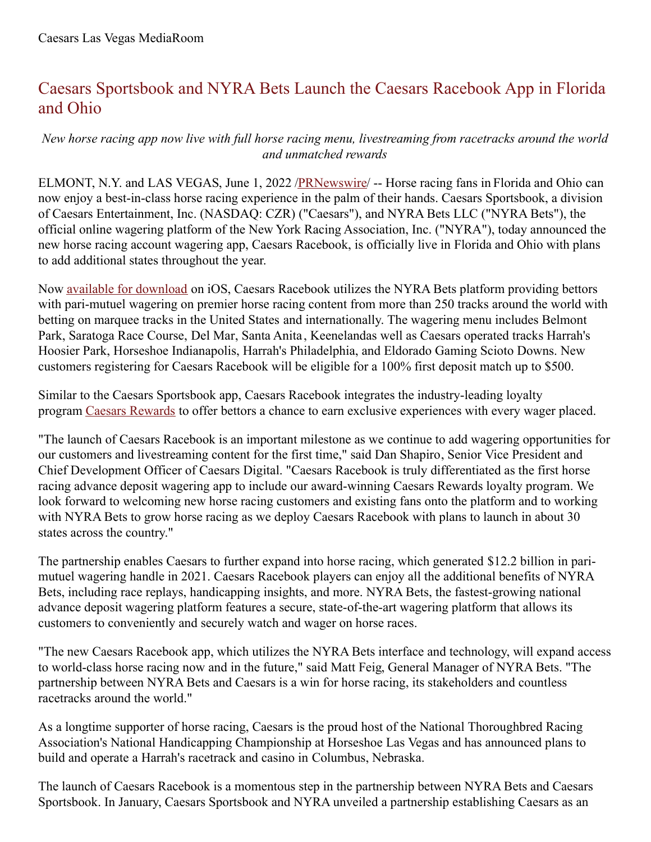## Caesars Sportsbook and NYRA Bets Launch the Caesars Racebook App in Florida and Ohio

## *New horse racing app now live with full horse racing menu, livestreaming from racetracks around the world and unmatched rewards*

ELMONT, N.Y. and LAS VEGAS, June 1, 2022 [/PRNewswire](http://www.prnewswire.com/)/ -- Horse racing fans in Florida and Ohio can now enjoy a best-in-class horse racing experience in the palm of their hands. Caesars Sportsbook, a division of Caesars Entertainment, Inc. (NASDAQ: CZR) ("Caesars"), and NYRA Bets LLC ("NYRA Bets"), the official online wagering platform of the New York Racing Association, Inc. ("NYRA"), today announced the new horse racing account wagering app, Caesars Racebook, is officially live in Florida and Ohio with plans to add additional states throughout the year.

Now available for [download](https://c212.net/c/link/?t=0&l=en&o=3554008-1&h=1095049031&u=https%3A%2F%2Fwww.caesars.com%2Fsportsbook-and-casino%2Fracebook&a=available+for+download) on iOS, Caesars Racebook utilizes the NYRA Bets platform providing bettors with pari-mutuel wagering on premier horse racing content from more than 250 tracks around the world with betting on marquee tracks in the United States and internationally. The wagering menu includes Belmont Park, Saratoga Race Course, Del Mar, Santa Anita , Keenelandas well as Caesars operated tracks Harrah's Hoosier Park, Horseshoe Indianapolis, Harrah's Philadelphia, and Eldorado Gaming Scioto Downs. New customers registering for Caesars Racebook will be eligible for a 100% first deposit match up to \$500.

Similar to the Caesars Sportsbook app, Caesars Racebook integrates the industry-leading loyalty program Caesars [Rewards](https://c212.net/c/link/?t=0&l=en&o=3554008-1&h=3787365026&u=https%3A%2F%2Fwww.caesars.com%2Fmyrewards&a=Caesars+Rewards) to offer bettors a chance to earn exclusive experiences with every wager placed.

"The launch of Caesars Racebook is an important milestone as we continue to add wagering opportunities for our customers and livestreaming content for the first time," said Dan Shapiro, Senior Vice President and Chief Development Officer of Caesars Digital. "Caesars Racebook is truly differentiated as the first horse racing advance deposit wagering app to include our award-winning Caesars Rewards loyalty program. We look forward to welcoming new horse racing customers and existing fans onto the platform and to working with NYRA Bets to grow horse racing as we deploy Caesars Racebook with plans to launch in about 30 states across the country."

The partnership enables Caesars to further expand into horse racing, which generated \$12.2 billion in parimutuel wagering handle in 2021. Caesars Racebook players can enjoy all the additional benefits of NYRA Bets, including race replays, handicapping insights, and more. NYRA Bets, the fastest-growing national advance deposit wagering platform features a secure, state-of-the-art wagering platform that allows its customers to conveniently and securely watch and wager on horse races.

"The new Caesars Racebook app, which utilizes the NYRA Bets interface and technology, will expand access to world-class horse racing now and in the future," said Matt Feig, General Manager of NYRA Bets. "The partnership between NYRA Bets and Caesars is a win for horse racing, its stakeholders and countless racetracks around the world."

As a longtime supporter of horse racing, Caesars is the proud host of the National Thoroughbred Racing Association's National Handicapping Championship at Horseshoe Las Vegas and has announced plans to build and operate a Harrah's racetrack and casino in Columbus, Nebraska.

The launch of Caesars Racebook is a momentous step in the partnership between NYRA Bets and Caesars Sportsbook. In January, Caesars Sportsbook and NYRA unveiled a partnership establishing Caesars as an